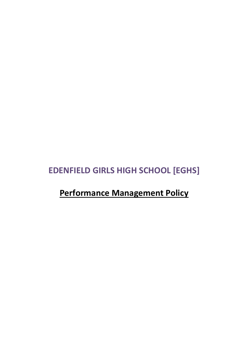# **EDENFIELD GIRLS HIGH SCHOOL [EGHS]**

# **Performance Management Policy**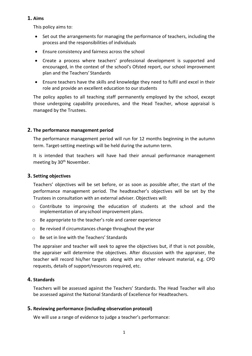## **1. Aims**

This policy aims to:

- Set out the arrangements for managing the performance of teachers, including the process and the responsibilities of individuals
- Ensure consistency and fairness across the school
- Create a process where teachers' professional development is supported and encouraged, in the context of the school's Ofsted report, our school improvement plan and the Teachers' Standards
- Ensure teachers have the skills and knowledge they need to fulfil and excel in their role and provide an excellent education to our students

The policy applies to all teaching staff permanently employed by the school, except those undergoing capability procedures, and the Head Teacher, whose appraisal is managed by the Trustees.

## **2. The performance management period**

The performance management period will run for 12 months beginning in the autumn term. Target-setting meetings will be held during the autumn term.

It is intended that teachers will have had their annual performance management meeting by 30<sup>th</sup> November.

#### **3. Setting objectives**

Teachers' objectives will be set before, or as soon as possible after, the start of the performance management period. The headteacher's objectives will be set by the Trustees in consultation with an external adviser. Objectives will:

- $\circ$  Contribute to improving the education of students at the school and the implementation of any school improvement plans.
- o Be appropriate to the teacher's role and career experience
- o Be revised if circumstances change throughout the year
- o Be set in line with the Teachers' Standards

The appraiser and teacher will seek to agree the objectives but, if that is not possible, the appraiser will determine the objectives. After discussion with the appraiser, the teacher will record his/her targets along with any other relevant material, e.g. CPD requests, details of support/resources required, etc.

## **4. Standards**

Teachers will be assessed against the Teachers' Standards. The Head Teacher will also be assessed against the National Standards of Excellence for Headteachers.

## **5. Reviewing performance (including observation protocol)**

We will use a range of evidence to judge a teacher's performance: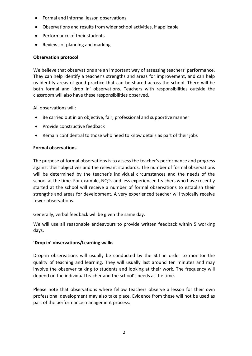- Formal and informal lesson observations
- Observations and results from wider school activities, if applicable
- Performance of their students
- Reviews of planning and marking

# **Observation protocol**

We believe that observations are an important way of assessing teachers' performance. They can help identify a teacher's strengths and areas for improvement, and can help us identify areas of good practice that can be shared across the school. There will be both formal and 'drop in' observations. Teachers with responsibilities outside the classroom will also have these responsibilities observed.

All observations will:

- Be carried out in an objective, fair, professional and supportive manner
- Provide constructive feedback
- Remain confidential to those who need to know details as part of their jobs

# **Formal observations**

The purpose of formal observations is to assess the teacher's performance and progress against their objectives and the relevant standards. The number of formal observations will be determined by the teacher's individual circumstances and the needs of the school at the time. For example, NQTs and less experienced teachers who have recently started at the school will receive a number of formal observations to establish their strengths and areas for development. A very experienced teacher will typically receive fewer observations.

Generally, verbal feedback will be given the same day.

We will use all reasonable endeavours to provide written feedback within 5 working days.

# **'Drop in' observations/Learning walks**

Drop-in observations will usually be conducted by the SLT in order to monitor the quality of teaching and learning. They will usually last around ten minutes and may involve the observer talking to students and looking at their work. The frequency will depend on the individual teacher and the school's needs at the time.

Please note that observations where fellow teachers observe a lesson for their own professional development may also take place. Evidence from these will not be used as part of the performance management process.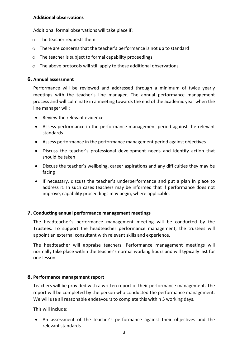#### **Additional observations**

Additional formal observations will take place if:

- o The teacher requests them
- o There are concerns that the teacher's performance is not up to standard
- o The teacher is subject to formal capability proceedings
- o The above protocols will still apply to these additional observations.

#### **6. Annual assessment**

Performance will be reviewed and addressed through a minimum of twice yearly meetings with the teacher's line manager. The annual performance management process and will culminate in a meeting towards the end of the academic year when the line manager will:

- Review the relevant evidence
- Assess performance in the performance management period against the relevant standards
- Assess performance in the performance management period against objectives
- Discuss the teacher's professional development needs and identify action that should be taken
- Discuss the teacher's wellbeing, career aspirations and any difficulties they may be facing
- If necessary, discuss the teacher's underperformance and put a plan in place to address it. In such cases teachers may be informed that if performance does not improve, capability proceedings may begin, where applicable.

## **7. Conducting annual performance management meetings**

The headteacher's performance management meeting will be conducted by the Trustees. To support the headteacher performance management, the trustees will appoint an external consultant with relevant skills and experience.

The headteacher will appraise teachers. Performance management meetings will normally take place within the teacher's normal working hours and will typically last for one lesson.

## **8. Performance management report**

Teachers will be provided with a written report of their performance management. The report will be completed by the person who conducted the performance management. We will use all reasonable endeavours to complete this within 5 working days.

This will include:

• An assessment of the teacher's performance against their objectives and the relevant standards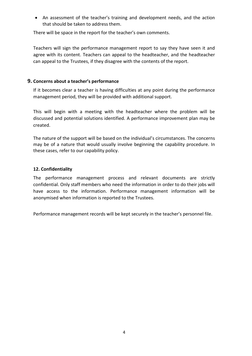• An assessment of the teacher's training and development needs, and the action that should be taken to address them.

There will be space in the report for the teacher's own comments.

Teachers will sign the performance management report to say they have seen it and agree with its content. Teachers can appeal to the headteacher, and the headteacher can appeal to the Trustees, if they disagree with the contents of the report.

## **9. Concerns about a teacher's performance**

If it becomes clear a teacher is having difficulties at any point during the performance management period, they will be provided with additional support.

This will begin with a meeting with the headteacher where the problem will be discussed and potential solutions identified. A performance improvement plan may be created.

The nature of the support will be based on the individual's circumstances. The concerns may be of a nature that would usually involve beginning the capability procedure. In these cases, refer to our capability policy.

# **12. Confidentiality**

The performance management process and relevant documents are strictly confidential. Only staff members who need the information in order to do their jobs will have access to the information. Performance management information will be anonymised when information is reported to the Trustees.

Performance management records will be kept securely in the teacher's personnel file.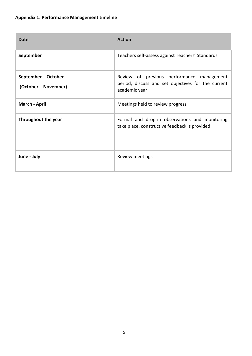| <b>Date</b>                                 | <b>Action</b>                                                                                                    |
|---------------------------------------------|------------------------------------------------------------------------------------------------------------------|
| September                                   | Teachers self-assess against Teachers' Standards                                                                 |
| September - October<br>(October – November) | Review of previous performance management<br>period, discuss and set objectives for the current<br>academic year |
| March - April                               | Meetings held to review progress                                                                                 |
| <b>Throughout the year</b>                  | Formal and drop-in observations and monitoring<br>take place, constructive feedback is provided                  |
| June - July                                 | Review meetings                                                                                                  |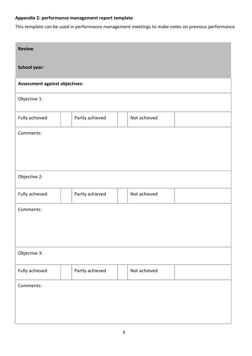# **Appendix 2: performance management report template**

This template can be used in performance management meetings to make notes on previous performance

| <b>Review</b>                  |                 |              |  |
|--------------------------------|-----------------|--------------|--|
| <b>School year:</b>            |                 |              |  |
| Assessment against objectives: |                 |              |  |
| Objective 1:                   |                 |              |  |
| Fully achieved                 | Partly achieved | Not achieved |  |
| Comments:                      |                 |              |  |
|                                |                 |              |  |
|                                |                 |              |  |
| Objective 2:                   |                 |              |  |
| Fully achieved                 | Partly achieved | Not achieved |  |
| Comments:                      |                 |              |  |
|                                |                 |              |  |
|                                |                 |              |  |
| Objective 3:                   |                 |              |  |
| Fully achieved                 | Partly achieved | Not achieved |  |
| Comments:                      |                 |              |  |
|                                |                 |              |  |
|                                |                 |              |  |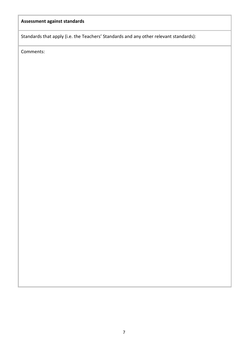# **Assessment against standards**

Standards that apply (i.e. the Teachers' Standards and any other relevant standards):

Comments: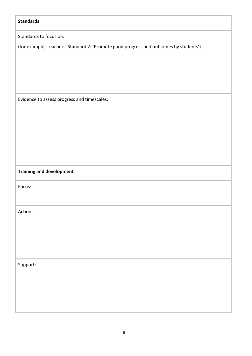| <b>Standards</b>                                                                      |
|---------------------------------------------------------------------------------------|
| Standards to focus on:                                                                |
| (for example, Teachers' Standard 2: 'Promote good progress and outcomes by students') |
|                                                                                       |
|                                                                                       |
|                                                                                       |
|                                                                                       |
| Evidence to assess progress and timescales:                                           |
|                                                                                       |
|                                                                                       |
|                                                                                       |
|                                                                                       |
|                                                                                       |
|                                                                                       |
| <b>Training and development</b>                                                       |
| Focus:                                                                                |
|                                                                                       |
| Action:                                                                               |
|                                                                                       |
|                                                                                       |
|                                                                                       |
|                                                                                       |
| Support:                                                                              |
|                                                                                       |
|                                                                                       |
|                                                                                       |
|                                                                                       |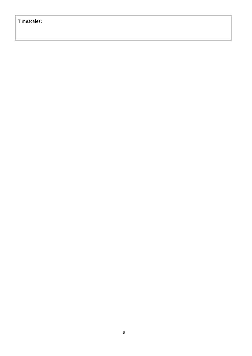# Timescales: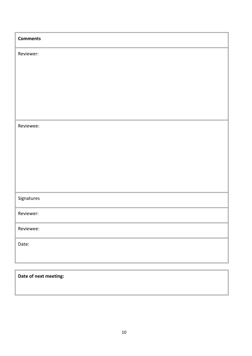| <b>Comments</b>       |
|-----------------------|
| Reviewer:             |
|                       |
|                       |
|                       |
|                       |
| Reviewee:             |
|                       |
|                       |
|                       |
|                       |
| Signatures            |
| Reviewer:             |
| Reviewee:             |
| Date:                 |
|                       |
|                       |
| Date of next meeting: |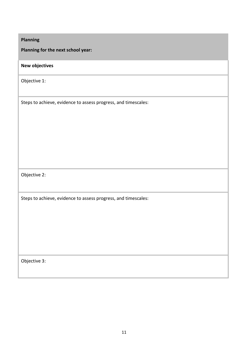**Planning for the next school year:**

# **New objectives**

Objective 1:

Steps to achieve, evidence to assess progress, and timescales:

Objective 2:

Steps to achieve, evidence to assess progress, and timescales:

Objective 3: